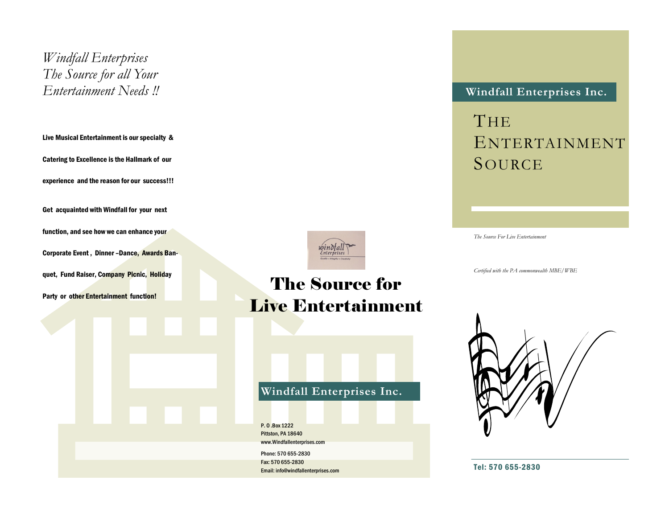*Windfall Enterprises The Source for all Your Entertainment Needs !!*

Live Musical Entertainment is our specialty & Catering to Excellence is the Hallmark of our experience and the reason for our success!!! Get acquainted with Windfall for your next

function, and see how we can enhance your Corporate Event , Dinner –Dance, Awards Ban-

quet, Fund Raiser, Company Picnic, Holiday

Party or other Entertainment function!



# The Source for Live Entertainment

## **Windfall Enterprises Inc.**

P. O .Box 1222 Pittston, PA 18640 www.Windfallenterprises.com Phone: 570 655-2830 Fax: 570 655-2830 Email: info@windfallenterprises.com

### **Windfall Enterprises Inc.**

**THE** ENTERTAINMENT SOURCE

*The Source For Live Entertainment*

*Certified with the PA commonwealth MBE/WBE*



Tel: 570 655-2830